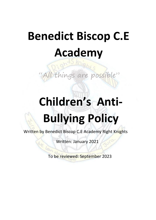## **Benedict Biscop C.E Academy**

gs are possible"

# **Children's Anti-Bullying Policy**

Written by Benedict Biscop C.E Academy Right Knights

Written: January 2021

To be reviewed: September 2023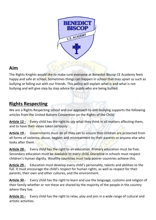

## **Aim**

The Rights Knights would like to make sure everyone at Benedict Biscop CE Academy feels happy and safe at school. Sometimes things can happen in school that may upset us such as bullying or falling out with our friends. This policy will explain what is and what is not bullying and will give step by step advice for pupils who are being bullied.

## **Rights Respecting**

We are a Rights Respecting school and our approach to anti-bullying supports the following articles from the United Nations Convention on the Rights of the Child:

Article 12 - **Every child has the right to say what they think in all matters affecting them,** and to have their views taken seriously.

**Article 19 -** Governments must do all they can to ensure that children are protected from all forms of violence, abuse, neglect and mistreatment by their parents or anyone else who looks after them.

**Article 28 -** Every child has the right to an education. Primary education must be free. Secondary education must be available to every child. Discipline in schools must respect children's human dignity. Wealthy countries must help poorer countries achieve this.

**Article 29 -** Education must develop every child's personality, talents and abilities to the full. It must encourage the child's respect for human rights, as well as respect for their parents, their own and other cultures, and the environment.

**Article 30 -** Every child has the right to learn and use the language, customs and religion of their family whether or not these are shared by the majority of the people in the country where they live.

**Article 31 -** Every child has the right to relax, play and join in a wide range of cultural and artistic activities.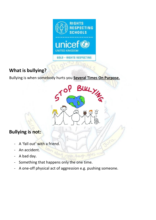

## **What is bullying?**

Bullying is when somebody hurts you **Several Times On Purpose.**



## **Bullying is not:**

- A 'fall out' with a friend.
- An accident.
- A bad day.
- Something that happens only the one time.

about

A one-off physical act of aggression e.g. pushing someone.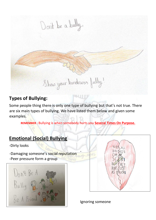Don't be a bully. Show your kindness fully!

#### **Types of Bullying:**

Some people thing there is only one type of bullying but that's not true. There are six main types of bullying. We have listed them below and given some examples.

SUN TI

**REMEMBER :** Bullying is when somebody hurts you **Several Times On Purpose.**

-

## **Emotional (Social) Bullying**

-Dirty looks

-Damaging someone's social reputation -Peer pressure form a group





Ignoring someone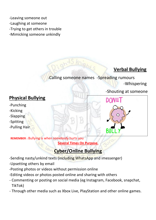-Leaving someone out -Laughing at someone -Trying to get others in trouble -Mimicking someone unkindly

## **Verbal Bullying**

-Calling someone names -Spreading rumours -Whispering

#### -Shouting at someone

#### **Physical Bullying**

- -Punching
- -Kicking
- -Slapping
- -Spitting
- -Pulling Hair



**REMEMBER :** Bullying is when somebody hurts you **Several Times On Purpose.**

## **Cyber/Online Bullying**

- -Sending nasty/unkind texts (including WhatsApp and imessenger)
- -Upsetting others by email
- -Posting photos or videos without permission online
- -Editing videos or photos posted online and sharing with others
- Commenting or posting on social media (eg Instagram, Facebook, snapchat, TikTok)
- Through other media such as Xbox Live, PlayStation and other online games.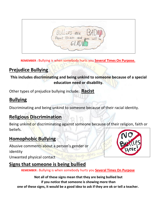$\alpha$ 

**REMEMBER :** Bullying is when somebody hurts you **Several Times On Purpose.**

## **Prejudice Bullying**

**This includes discriminating and being unkind to someone because of a special education need or disability.** 

Other types of prejudice bullying include: **Racist** 

## **Bullying**

Discriminating and being unkind to someone because of their racial identity.

## **Religious Discrimination**

Being unkind or discriminating against someone because of their religion, faith or beliefs.

## **Homophobic Bullying**

Abusive comments about a person's gender or identity Unwanted physical contact

## **Signs that someone is being bullied**

**REMEMBER :** Bullying is when somebody hurts you **Several Times On Purpose**

**Not all of these signs mean that they are being bullied but if you notice that someone is showing more than one of these signs, it would be a good idea to ask if they are ok or tell a teacher.** 

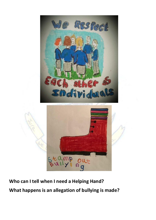

**Who can I tell when I need a Helping Hand? What happens is an allegation of bullying is made?**